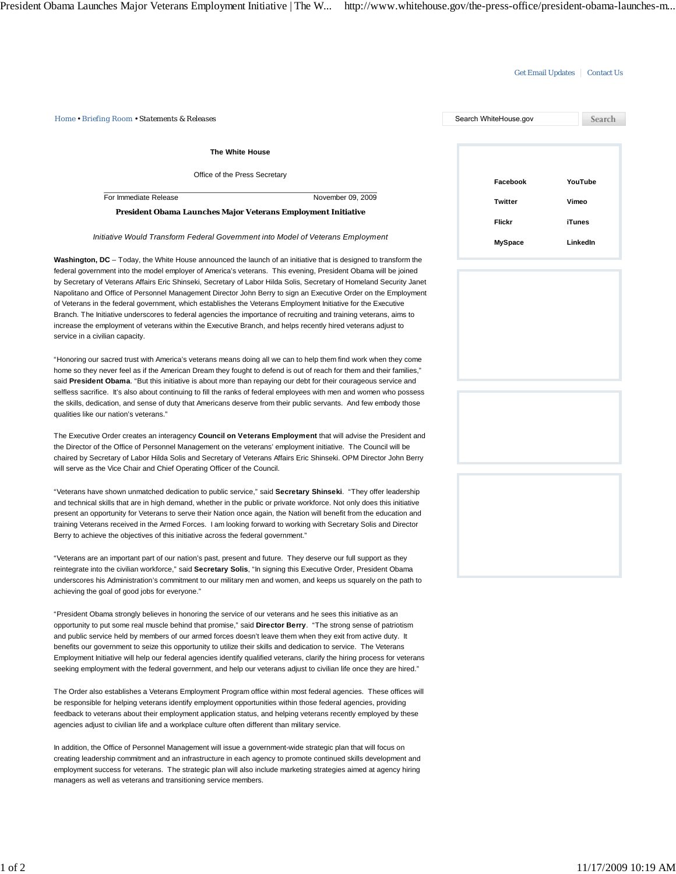## Get Email Updates | Contact Us

| Home • Briefing Room • Statements & Releases                                                                                                                                                                                                                                                                                                                                                                                                                                                                                                                                                                                                                                                                                                                                                                                                                          | Search WhiteHouse.gov    | Search                    |
|-----------------------------------------------------------------------------------------------------------------------------------------------------------------------------------------------------------------------------------------------------------------------------------------------------------------------------------------------------------------------------------------------------------------------------------------------------------------------------------------------------------------------------------------------------------------------------------------------------------------------------------------------------------------------------------------------------------------------------------------------------------------------------------------------------------------------------------------------------------------------|--------------------------|---------------------------|
|                                                                                                                                                                                                                                                                                                                                                                                                                                                                                                                                                                                                                                                                                                                                                                                                                                                                       |                          |                           |
| <b>The White House</b>                                                                                                                                                                                                                                                                                                                                                                                                                                                                                                                                                                                                                                                                                                                                                                                                                                                |                          |                           |
| Office of the Press Secretary                                                                                                                                                                                                                                                                                                                                                                                                                                                                                                                                                                                                                                                                                                                                                                                                                                         | Facebook                 | YouTube                   |
| For Immediate Release<br>November 09, 2009                                                                                                                                                                                                                                                                                                                                                                                                                                                                                                                                                                                                                                                                                                                                                                                                                            | <b>Twitter</b>           | Vimeo                     |
| President Obama Launches Major Veterans Employment Initiative                                                                                                                                                                                                                                                                                                                                                                                                                                                                                                                                                                                                                                                                                                                                                                                                         |                          |                           |
| Initiative Would Transform Federal Government into Model of Veterans Employment                                                                                                                                                                                                                                                                                                                                                                                                                                                                                                                                                                                                                                                                                                                                                                                       | Flickr<br><b>MySpace</b> | <b>iTunes</b><br>LinkedIn |
| Washington, DC – Today, the White House announced the launch of an initiative that is designed to transform the<br>federal government into the model employer of America's veterans. This evening, President Obama will be joined<br>by Secretary of Veterans Affairs Eric Shinseki, Secretary of Labor Hilda Solis, Secretary of Homeland Security Janet<br>Napolitano and Office of Personnel Management Director John Berry to sign an Executive Order on the Employment<br>of Veterans in the federal government, which establishes the Veterans Employment Initiative for the Executive<br>Branch. The Initiative underscores to federal agencies the importance of recruiting and training veterans, aims to<br>increase the employment of veterans within the Executive Branch, and helps recently hired veterans adjust to<br>service in a civilian capacity. |                          |                           |
| "Honoring our sacred trust with America's veterans means doing all we can to help them find work when they come<br>home so they never feel as if the American Dream they fought to defend is out of reach for them and their families,"<br>said President Obama. "But this initiative is about more than repaying our debt for their courageous service and<br>selfless sacrifice. It's also about continuing to fill the ranks of federal employees with men and women who possess<br>the skills, dedication, and sense of duty that Americans deserve from their public servants. And few embody those<br>qualities like our nation's veterans."                                                                                                                                                                                                                    |                          |                           |
| The Executive Order creates an interagency Council on Veterans Employment that will advise the President and<br>the Director of the Office of Personnel Management on the veterans' employment initiative. The Council will be<br>chaired by Secretary of Labor Hilda Solis and Secretary of Veterans Affairs Eric Shinseki. OPM Director John Berry<br>will serve as the Vice Chair and Chief Operating Officer of the Council.                                                                                                                                                                                                                                                                                                                                                                                                                                      |                          |                           |
| "Veterans have shown unmatched dedication to public service," said Secretary Shinseki. "They offer leadership<br>and technical skills that are in high demand, whether in the public or private workforce. Not only does this initiative<br>present an opportunity for Veterans to serve their Nation once again, the Nation will benefit from the education and<br>training Veterans received in the Armed Forces. I am looking forward to working with Secretary Solis and Director<br>Berry to achieve the objectives of this initiative across the federal government."                                                                                                                                                                                                                                                                                           |                          |                           |
| "Veterans are an important part of our nation's past, present and future. They deserve our full support as they<br>reintegrate into the civilian workforce," said Secretary Solis, "In signing this Executive Order, President Obama<br>underscores his Administration's commitment to our military men and women, and keeps us squarely on the path to<br>achieving the goal of good jobs for everyone."                                                                                                                                                                                                                                                                                                                                                                                                                                                             |                          |                           |
| "President Obama strongly believes in honoring the service of our veterans and he sees this initiative as an<br>opportunity to put some real muscle behind that promise," said Director Berry. "The strong sense of patriotism<br>and public service held by members of our armed forces doesn't leave them when they exit from active duty. It<br>benefits our government to seize this opportunity to utilize their skills and dedication to service. The Veterans<br>Employment Initiative will help our federal agencies identify qualified veterans, clarify the hiring process for veterans<br>seeking employment with the federal government, and help our veterans adjust to civilian life once they are hired."                                                                                                                                              |                          |                           |
| The Order also establishes a Veterans Employment Program office within most federal agencies. These offices will<br>be responsible for helping veterans identify employment opportunities within those federal agencies, providing<br>feedback to veterans about their employment application status, and helping veterans recently employed by these<br>agencies adjust to civilian life and a workplace culture often different than military service.                                                                                                                                                                                                                                                                                                                                                                                                              |                          |                           |
| In addition, the Office of Personnel Management will issue a government-wide strategic plan that will focus on<br>creating leadership commitment and an infrastructure in each agency to promote continued skills development and<br>employment success for veterans. The strategic plan will also include marketing strategies aimed at agency hiring<br>managers as well as veterans and transitioning service members.                                                                                                                                                                                                                                                                                                                                                                                                                                             |                          |                           |
|                                                                                                                                                                                                                                                                                                                                                                                                                                                                                                                                                                                                                                                                                                                                                                                                                                                                       |                          |                           |